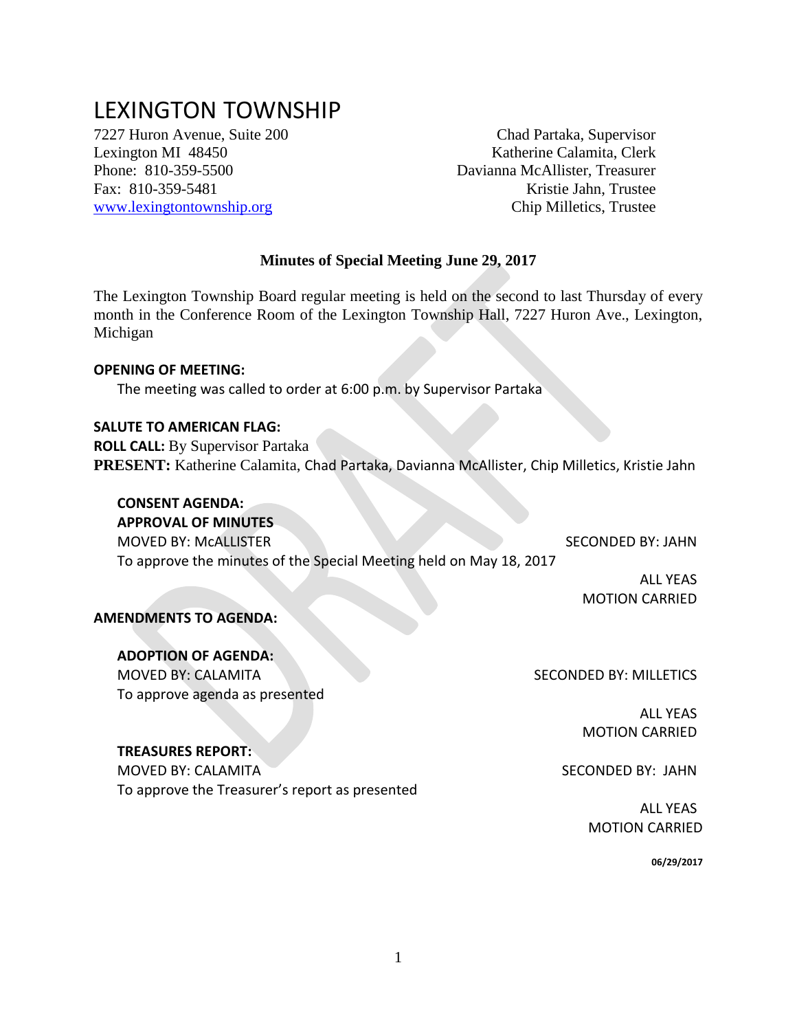# LEXINGTON TOWNSHIP

7227 Huron Avenue, Suite 200 Chad Partaka, Supervisor

Lexington MI 48450 Katherine Calamita, Clerk Phone: 810-359-5500 Davianna McAllister, Treasurer Fax: 810-359-5481 Kristie Jahn, Trustee [www.lexingtontownship.org](http://www.lexingtontownship.org/) Chip Milletics, Trustee

#### **Minutes of Special Meeting June 29, 2017**

The Lexington Township Board regular meeting is held on the second to last Thursday of every month in the Conference Room of the Lexington Township Hall, 7227 Huron Ave., Lexington, Michigan

#### **OPENING OF MEETING:**

The meeting was called to order at 6:00 p.m. by Supervisor Partaka

#### **SALUTE TO AMERICAN FLAG:**

**ROLL CALL:** By Supervisor Partaka **PRESENT:** Katherine Calamita, Chad Partaka, Davianna McAllister, Chip Milletics, Kristie Jahn

# **CONSENT AGENDA:**

**APPROVAL OF MINUTES**  MOVED BY: MCALLISTER SECONDED BY: JAHN To approve the minutes of the Special Meeting held on May 18, 2017

> ALL YEAS MOTION CARRIED

#### **AMENDMENTS TO AGENDA:**

#### **ADOPTION OF AGENDA:**

MOVED BY: CALAMITA SECONDED BY: MILLETICS To approve agenda as presented

ALL YEAS MOTION CARRIED

## **TREASURES REPORT:**

MOVED BY: CALAMITA To approve the Treasurer's report as presented

 ALL YEAS MOTION CARRIED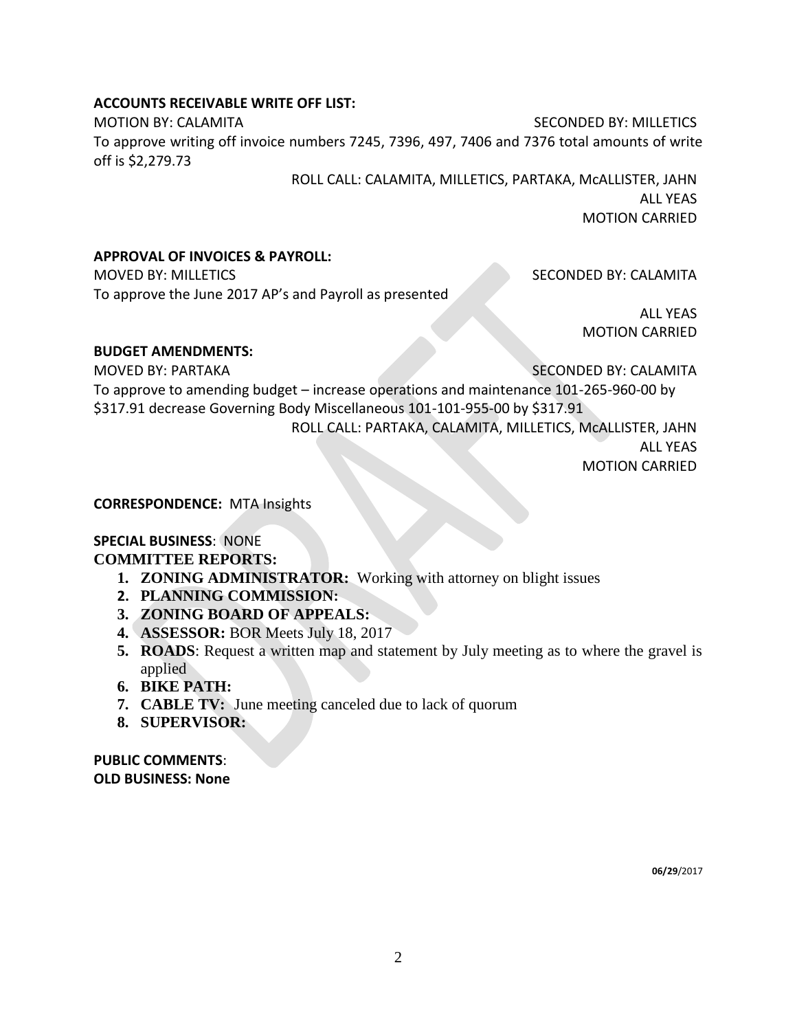## **ACCOUNTS RECEIVABLE WRITE OFF LIST:**

MOTION BY: CALAMITA SECONDED BY: MILLETICS To approve writing off invoice numbers 7245, 7396, 497, 7406 and 7376 total amounts of write off is \$2,279.73

> ROLL CALL: CALAMITA, MILLETICS, PARTAKA, McALLISTER, JAHN ALL YEAS MOTION CARRIED

## **APPROVAL OF INVOICES & PAYROLL:**

MOVED BY: MILLETICS SECONDED BY: CALAMITA To approve the June 2017 AP's and Payroll as presented

ALL YEAS MOTION CARRIED

## **BUDGET AMENDMENTS:**

MOVED BY: PARTAKA SECONDED BY: CALAMITA

To approve to amending budget – increase operations and maintenance 101-265-960-00 by \$317.91 decrease Governing Body Miscellaneous 101-101-955-00 by \$317.91 ROLL CALL: PARTAKA, CALAMITA, MILLETICS, McALLISTER, JAHN

ALL YEAS MOTION CARRIED

## **CORRESPONDENCE:** MTA Insights

#### **SPECIAL BUSINESS**: NONE **COMMITTEE REPORTS:**

- **1. ZONING ADMINISTRATOR:** Working with attorney on blight issues
- **2. PLANNING COMMISSION:**
- **3. ZONING BOARD OF APPEALS:**
- **4. ASSESSOR:** BOR Meets July 18, 2017
- **5. ROADS**: Request a written map and statement by July meeting as to where the gravel is applied
- **6. BIKE PATH:**
- **7. CABLE TV:** June meeting canceled due to lack of quorum
- **8. SUPERVISOR:**

**PUBLIC COMMENTS**: **OLD BUSINESS: None**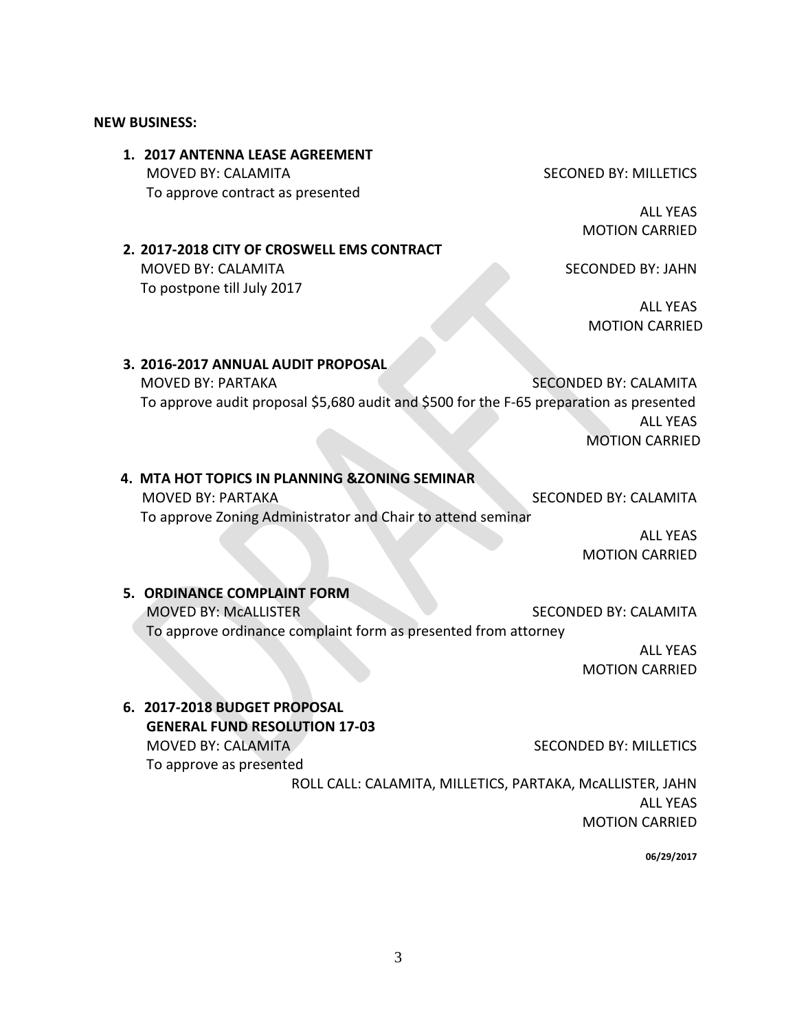#### **NEW BUSINESS:**

**1. 2017 ANTENNA LEASE AGREEMENT** MOVED BY: CALAMITA SECONED BY: MILLETICS To approve contract as presented

ALL YEAS MOTION CARRIED

**2. 2017-2018 CITY OF CROSWELL EMS CONTRACT** MOVED BY: CALAMITA SECONDED BY: JAHN To postpone till July 2017

ALL YEAS MOTION CARRIED

# **3. 2016-2017 ANNUAL AUDIT PROPOSAL** MOVED BY: PARTAKA SECONDED BY: CALAMITA To approve audit proposal \$5,680 audit and \$500 for the F-65 preparation as presented ALL YEAS MOTION CARRIED

# **4. MTA HOT TOPICS IN PLANNING &ZONING SEMINAR** MOVED BY: PARTAKA SECONDED BY: CALAMITA To approve Zoning Administrator and Chair to attend seminar

ALL YEAS MOTION CARRIED

## **5. ORDINANCE COMPLAINT FORM**

MOVED BY: MCALLISTER SECONDED BY: CALAMITA

To approve ordinance complaint form as presented from attorney

ALL YEAS MOTION CARRIED

**6. 2017-2018 BUDGET PROPOSAL GENERAL FUND RESOLUTION 17-03** MOVED BY: CALAMITA SECONDED BY: MILLETICS To approve as presented

ROLL CALL: CALAMITA, MILLETICS, PARTAKA, McALLISTER, JAHN ALL YEAS MOTION CARRIED